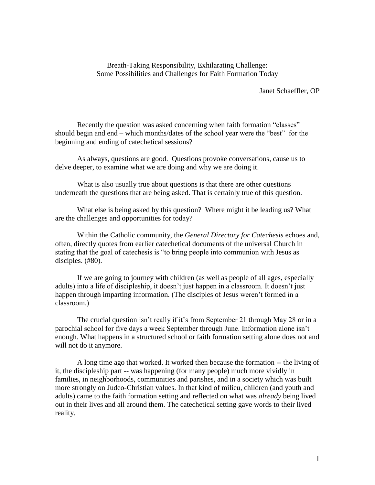## Breath-Taking Responsibility, Exhilarating Challenge: Some Possibilities and Challenges for Faith Formation Today

Janet Schaeffler, OP

Recently the question was asked concerning when faith formation "classes" should begin and end – which months/dates of the school year were the "best" for the beginning and ending of catechetical sessions?

As always, questions are good. Questions provoke conversations, cause us to delve deeper, to examine what we are doing and why we are doing it.

What is also usually true about questions is that there are other questions underneath the questions that are being asked. That is certainly true of this question.

What else is being asked by this question? Where might it be leading us? What are the challenges and opportunities for today?

Within the Catholic community, the *General Directory for Catechesis* echoes and, often, directly quotes from earlier catechetical documents of the universal Church in stating that the goal of catechesis is "to bring people into communion with Jesus as disciples. (#80).

If we are going to journey with children (as well as people of all ages, especially adults) into a life of discipleship, it doesn't just happen in a classroom. It doesn't just happen through imparting information. (The disciples of Jesus weren't formed in a classroom.)

The crucial question isn't really if it's from September 21 through May 28 or in a parochial school for five days a week September through June. Information alone isn't enough. What happens in a structured school or faith formation setting alone does not and will not do it anymore.

A long time ago that worked. It worked then because the formation -- the living of it, the discipleship part -- was happening (for many people) much more vividly in families, in neighborhoods, communities and parishes, and in a society which was built more strongly on Judeo-Christian values. In that kind of milieu, children (and youth and adults) came to the faith formation setting and reflected on what was *already* being lived out in their lives and all around them. The catechetical setting gave words to their lived reality.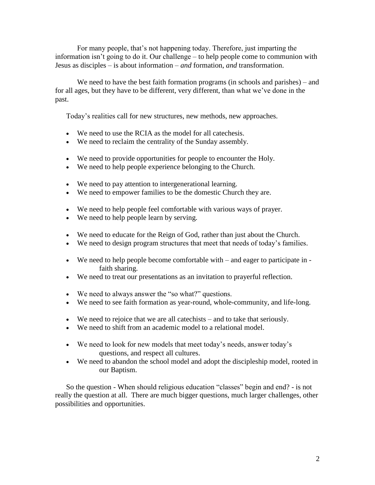For many people, that's not happening today. Therefore, just imparting the information isn't going to do it. Our challenge – to help people come to communion with Jesus as disciples – is about information – *and* formation, *and* transformation.

We need to have the best faith formation programs (in schools and parishes) – and for all ages, but they have to be different, very different, than what we've done in the past.

Today's realities call for new structures, new methods, new approaches.

- We need to use the RCIA as the model for all catechesis.
- We need to reclaim the centrality of the Sunday assembly.
- We need to provide opportunities for people to encounter the Holy.
- We need to help people experience belonging to the Church.
- We need to pay attention to intergenerational learning.
- We need to empower families to be the domestic Church they are.
- We need to help people feel comfortable with various ways of prayer.
- We need to help people learn by serving.
- We need to educate for the Reign of God, rather than just about the Church.
- We need to design program structures that meet that needs of today's families.
- We need to help people become comfortable with and eager to participate in faith sharing.
- We need to treat our presentations as an invitation to prayerful reflection.
- We need to always answer the "so what?" questions.
- We need to see faith formation as year-round, whole-community, and life-long.
- We need to rejoice that we are all catechists and to take that seriously.
- We need to shift from an academic model to a relational model.
- We need to look for new models that meet today's needs, answer today's questions, and respect all cultures.
- We need to abandon the school model and adopt the discipleship model, rooted in our Baptism.

So the question - When should religious education "classes" begin and end? - is not really the question at all. There are much bigger questions, much larger challenges, other possibilities and opportunities.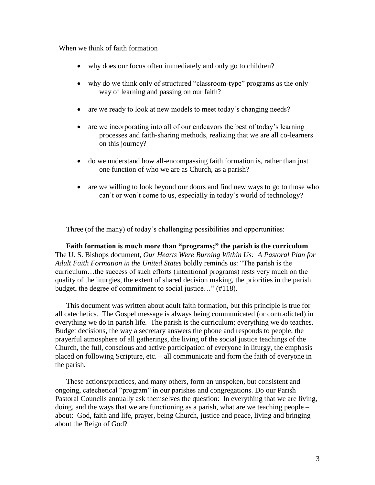When we think of faith formation

- why does our focus often immediately and only go to children?
- why do we think only of structured "classroom-type" programs as the only way of learning and passing on our faith?
- are we ready to look at new models to meet today's changing needs?
- are we incorporating into all of our endeavors the best of today's learning processes and faith-sharing methods, realizing that we are all co-learners on this journey?
- do we understand how all-encompassing faith formation is, rather than just one function of who we are as Church, as a parish?
- are we willing to look beyond our doors and find new ways to go to those who can't or won't come to us, especially in today's world of technology?

Three (of the many) of today's challenging possibilities and opportunities:

**Faith formation is much more than "programs;" the parish is the curriculum**. The U. S. Bishops document, *Our Hearts Were Burning Within Us: A Pastoral Plan for Adult Faith Formation in the United States* boldly reminds us: "The parish is the curriculum…the success of such efforts (intentional programs) rests very much on the quality of the liturgies, the extent of shared decision making, the priorities in the parish budget, the degree of commitment to social justice…" (#118).

This document was written about adult faith formation, but this principle is true for all catechetics. The Gospel message is always being communicated (or contradicted) in everything we do in parish life. The parish is the curriculum; everything we do teaches. Budget decisions, the way a secretary answers the phone and responds to people, the prayerful atmosphere of all gatherings, the living of the social justice teachings of the Church, the full, conscious and active participation of everyone in liturgy, the emphasis placed on following Scripture, etc. – all communicate and form the faith of everyone in the parish.

These actions/practices, and many others, form an unspoken, but consistent and ongoing, catechetical "program" in our parishes and congregations. Do our Parish Pastoral Councils annually ask themselves the question: In everything that we are living, doing, and the ways that we are functioning as a parish, what are we teaching people – about: God, faith and life, prayer, being Church, justice and peace, living and bringing about the Reign of God?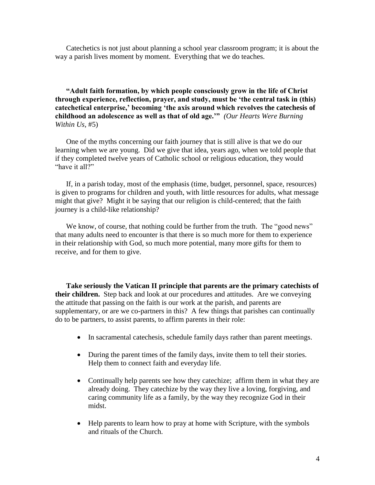Catechetics is not just about planning a school year classroom program; it is about the way a parish lives moment by moment. Everything that we do teaches.

**"Adult faith formation, by which people consciously grow in the life of Christ through experience, reflection, prayer, and study, must be 'the central task in (this) catechetical enterprise,' becoming 'the axis around which revolves the catechesis of childhood an adolescence as well as that of old age.'"** *(Our Hearts Were Burning Within Us,* #5)

One of the myths concerning our faith journey that is still alive is that we do our learning when we are young. Did we give that idea, years ago, when we told people that if they completed twelve years of Catholic school or religious education, they would "have it all?"

If, in a parish today, most of the emphasis (time, budget, personnel, space, resources) is given to programs for children and youth, with little resources for adults, what message might that give? Might it be saying that our religion is child-centered; that the faith journey is a child-like relationship?

We know, of course, that nothing could be further from the truth. The "good news" that many adults need to encounter is that there is so much more for them to experience in their relationship with God, so much more potential, many more gifts for them to receive, and for them to give.

**Take seriously the Vatican II principle that parents are the primary catechists of their children.** Step back and look at our procedures and attitudes. Are we conveying the attitude that passing on the faith is our work at the parish, and parents are supplementary, or are we co-partners in this? A few things that parishes can continually do to be partners, to assist parents, to affirm parents in their role:

- In sacramental catechesis, schedule family days rather than parent meetings.
- During the parent times of the family days, invite them to tell their stories. Help them to connect faith and everyday life.
- Continually help parents see how they catechize; affirm them in what they are already doing. They catechize by the way they live a loving, forgiving, and caring community life as a family, by the way they recognize God in their midst.
- Help parents to learn how to pray at home with Scripture, with the symbols and rituals of the Church.